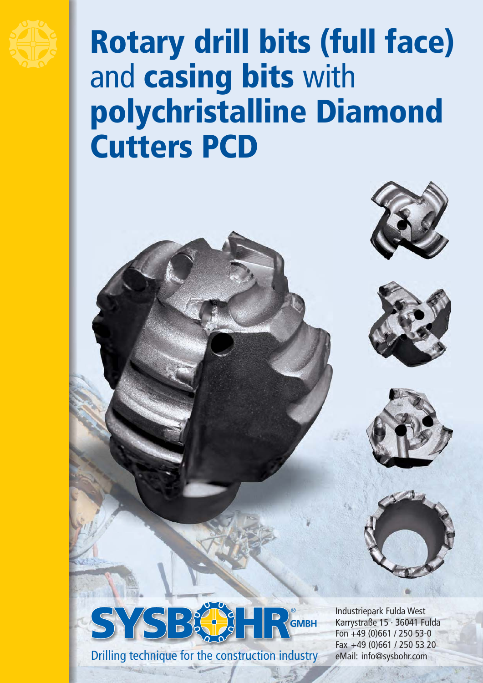

## Rotary drill bits (full face) and casing bits with polychristalline Diamond Cutters PCD









Drilling technique for the construction industry

Industriepark Fulda West Karrystraße 15 · 36041 Fulda Fon +49 (0)661 / 250 53-0 Fax +49 (0)661 / 250 53 20 eMail: info@sysbohr.com